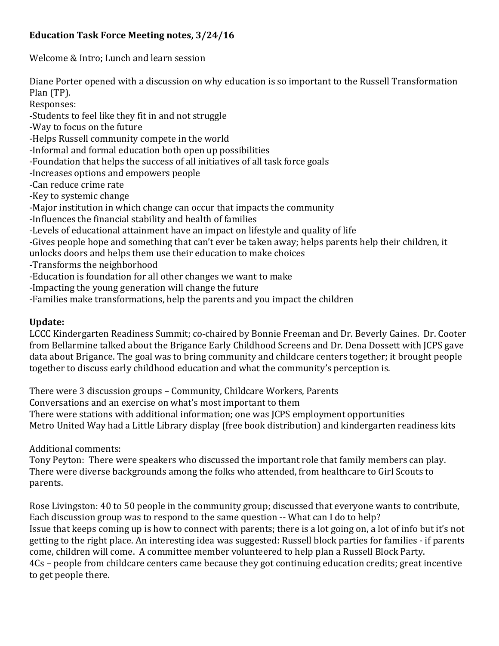## **Education Task Force Meeting notes, 3/24/16**

Welcome & Intro; Lunch and learn session

Diane Porter opened with a discussion on why education is so important to the Russell Transformation Plan (TP).

Responses:

-Students to feel like they fit in and not struggle

-Way to focus on the future

-Helps Russell community compete in the world

-Informal and formal education both open up possibilities

-Foundation that helps the success of all initiatives of all task force goals

-Increases options and empowers people

-Can reduce crime rate

-Key to systemic change

-Major institution in which change can occur that impacts the community

-Influences the financial stability and health of families

-Levels of educational attainment have an impact on lifestyle and quality of life

-Gives people hope and something that can't ever be taken away; helps parents help their children, it

unlocks doors and helps them use their education to make choices

-Transforms the neighborhood

-Education is foundation for all other changes we want to make

-Impacting the young generation will change the future

-Families make transformations, help the parents and you impact the children

#### **Update:**

LCCC Kindergarten Readiness Summit; co-chaired by Bonnie Freeman and Dr. Beverly Gaines. Dr. Cooter from Bellarmine talked about the Brigance Early Childhood Screens and Dr. Dena Dossett with JCPS gave data about Brigance. The goal was to bring community and childcare centers together; it brought people together to discuss early childhood education and what the community's perception is.

There were 3 discussion groups – Community, Childcare Workers, Parents

Conversations and an exercise on what's most important to them

There were stations with additional information; one was JCPS employment opportunities

Metro United Way had a Little Library display (free book distribution) and kindergarten readiness kits

Additional comments:

Tony Peyton: There were speakers who discussed the important role that family members can play. There were diverse backgrounds among the folks who attended, from healthcare to Girl Scouts to parents.

Rose Livingston: 40 to 50 people in the community group; discussed that everyone wants to contribute, Each discussion group was to respond to the same question -- What can I do to help? Issue that keeps coming up is how to connect with parents; there is a lot going on, a lot of info but it's not getting to the right place. An interesting idea was suggested: Russell block parties for families - if parents come, children will come. A committee member volunteered to help plan a Russell Block Party. 4Cs – people from childcare centers came because they got continuing education credits; great incentive to get people there.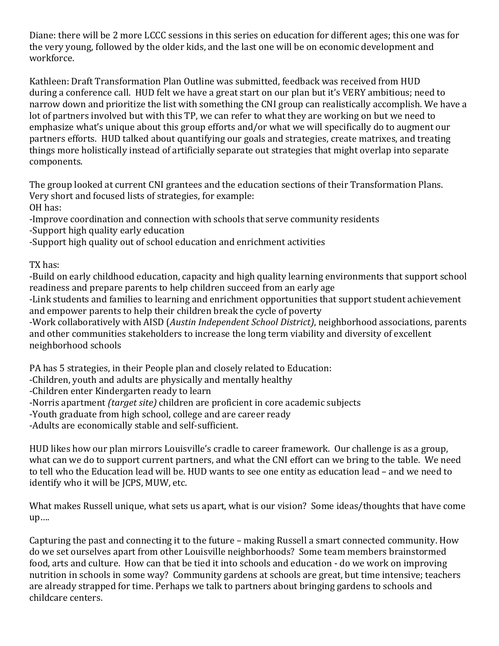Diane: there will be 2 more LCCC sessions in this series on education for different ages; this one was for the very young, followed by the older kids, and the last one will be on economic development and workforce.

Kathleen: Draft Transformation Plan Outline was submitted, feedback was received from HUD during a conference call. HUD felt we have a great start on our plan but it's VERY ambitious; need to narrow down and prioritize the list with something the CNI group can realistically accomplish. We have a lot of partners involved but with this TP, we can refer to what they are working on but we need to emphasize what's unique about this group efforts and/or what we will specifically do to augment our partners efforts. HUD talked about quantifying our goals and strategies, create matrixes, and treating things more holistically instead of artificially separate out strategies that might overlap into separate components.

The group looked at current CNI grantees and the education sections of their Transformation Plans. Very short and focused lists of strategies, for example: OH has:

-Improve coordination and connection with schools that serve community residents

-Support high quality early education

-Support high quality out of school education and enrichment activities

TX has:

-Build on early childhood education, capacity and high quality learning environments that support school readiness and prepare parents to help children succeed from an early age

-Link students and families to learning and enrichment opportunities that support student achievement and empower parents to help their children break the cycle of poverty

-Work collaboratively with AISD (*Austin Independent School District)*, neighborhood associations, parents and other communities stakeholders to increase the long term viability and diversity of excellent neighborhood schools

PA has 5 strategies, in their People plan and closely related to Education:

-Children, youth and adults are physically and mentally healthy

-Children enter Kindergarten ready to learn

-Norris apartment *(target site)* children are proficient in core academic subjects

-Youth graduate from high school, college and are career ready

-Adults are economically stable and self-sufficient.

HUD likes how our plan mirrors Louisville's cradle to career framework. Our challenge is as a group, what can we do to support current partners, and what the CNI effort can we bring to the table. We need to tell who the Education lead will be. HUD wants to see one entity as education lead – and we need to identify who it will be JCPS, MUW, etc.

What makes Russell unique, what sets us apart, what is our vision? Some ideas/thoughts that have come up….

Capturing the past and connecting it to the future – making Russell a smart connected community. How do we set ourselves apart from other Louisville neighborhoods? Some team members brainstormed food, arts and culture. How can that be tied it into schools and education - do we work on improving nutrition in schools in some way? Community gardens at schools are great, but time intensive; teachers are already strapped for time. Perhaps we talk to partners about bringing gardens to schools and childcare centers.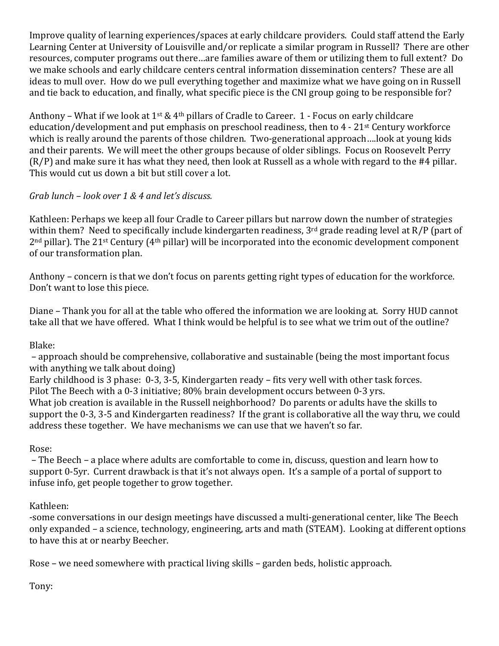Improve quality of learning experiences/spaces at early childcare providers. Could staff attend the Early Learning Center at University of Louisville and/or replicate a similar program in Russell? There are other resources, computer programs out there…are families aware of them or utilizing them to full extent? Do we make schools and early childcare centers central information dissemination centers? These are all ideas to mull over. How do we pull everything together and maximize what we have going on in Russell and tie back to education, and finally, what specific piece is the CNI group going to be responsible for?

Anthony – What if we look at  $1^{st}$  & 4<sup>th</sup> pillars of Cradle to Career. 1 - Focus on early childcare education/development and put emphasis on preschool readiness, then to 4 - 21st Century workforce which is really around the parents of those children. Two-generational approach….look at young kids and their parents. We will meet the other groups because of older siblings. Focus on Roosevelt Perry (R/P) and make sure it has what they need, then look at Russell as a whole with regard to the #4 pillar. This would cut us down a bit but still cover a lot.

#### *Grab lunch – look over 1 & 4 and let's discuss.*

Kathleen: Perhaps we keep all four Cradle to Career pillars but narrow down the number of strategies within them? Need to specifically include kindergarten readiness, 3<sup>rd</sup> grade reading level at R/P (part of 2nd pillar). The 21st Century (4th pillar) will be incorporated into the economic development component of our transformation plan.

Anthony – concern is that we don't focus on parents getting right types of education for the workforce. Don't want to lose this piece.

Diane – Thank you for all at the table who offered the information we are looking at. Sorry HUD cannot take all that we have offered. What I think would be helpful is to see what we trim out of the outline?

Blake:

– approach should be comprehensive, collaborative and sustainable (being the most important focus with anything we talk about doing)

Early childhood is 3 phase: 0-3, 3-5, Kindergarten ready – fits very well with other task forces.

Pilot The Beech with a 0-3 initiative; 80% brain development occurs between 0-3 yrs.

What job creation is available in the Russell neighborhood? Do parents or adults have the skills to support the 0-3, 3-5 and Kindergarten readiness? If the grant is collaborative all the way thru, we could address these together. We have mechanisms we can use that we haven't so far.

Rose:

– The Beech – a place where adults are comfortable to come in, discuss, question and learn how to support 0-5yr. Current drawback is that it's not always open. It's a sample of a portal of support to infuse info, get people together to grow together.

Kathleen:

-some conversations in our design meetings have discussed a multi-generational center, like The Beech only expanded – a science, technology, engineering, arts and math (STEAM). Looking at different options to have this at or nearby Beecher.

Rose – we need somewhere with practical living skills – garden beds, holistic approach.

Tony: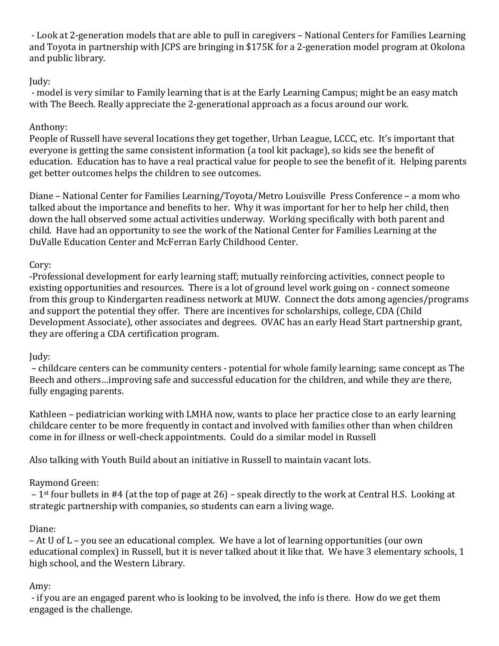- Look at 2-generation models that are able to pull in caregivers – National Centers for Families Learning and Toyota in partnership with JCPS are bringing in \$175K for a 2-generation model program at Okolona and public library.

## Judy:

- model is very similar to Family learning that is at the Early Learning Campus; might be an easy match with The Beech. Really appreciate the 2-generational approach as a focus around our work.

## Anthony:

People of Russell have several locations they get together, Urban League, LCCC, etc. It's important that everyone is getting the same consistent information (a tool kit package), so kids see the benefit of education. Education has to have a real practical value for people to see the benefit of it. Helping parents get better outcomes helps the children to see outcomes.

Diane – National Center for Families Learning/Toyota/Metro Louisville Press Conference – a mom who talked about the importance and benefits to her. Why it was important for her to help her child, then down the hall observed some actual activities underway. Working specifically with both parent and child. Have had an opportunity to see the work of the National Center for Families Learning at the DuValle Education Center and McFerran Early Childhood Center.

## Cory:

-Professional development for early learning staff; mutually reinforcing activities, connect people to existing opportunities and resources. There is a lot of ground level work going on - connect someone from this group to Kindergarten readiness network at MUW. Connect the dots among agencies/programs and support the potential they offer. There are incentives for scholarships, college, CDA (Child Development Associate), other associates and degrees. OVAC has an early Head Start partnership grant, they are offering a CDA certification program.

## Judy:

– childcare centers can be community centers - potential for whole family learning; same concept as The Beech and others…improving safe and successful education for the children, and while they are there, fully engaging parents.

Kathleen – pediatrician working with LMHA now, wants to place her practice close to an early learning childcare center to be more frequently in contact and involved with families other than when children come in for illness or well-check appointments. Could do a similar model in Russell

Also talking with Youth Build about an initiative in Russell to maintain vacant lots.

# Raymond Green:

– 1st four bullets in #4 (at the top of page at 26) – speak directly to the work at Central H.S. Looking at strategic partnership with companies, so students can earn a living wage.

## Diane:

– At U of L – you see an educational complex. We have a lot of learning opportunities (our own educational complex) in Russell, but it is never talked about it like that. We have 3 elementary schools, 1 high school, and the Western Library.

# Amy:

- if you are an engaged parent who is looking to be involved, the info is there. How do we get them engaged is the challenge.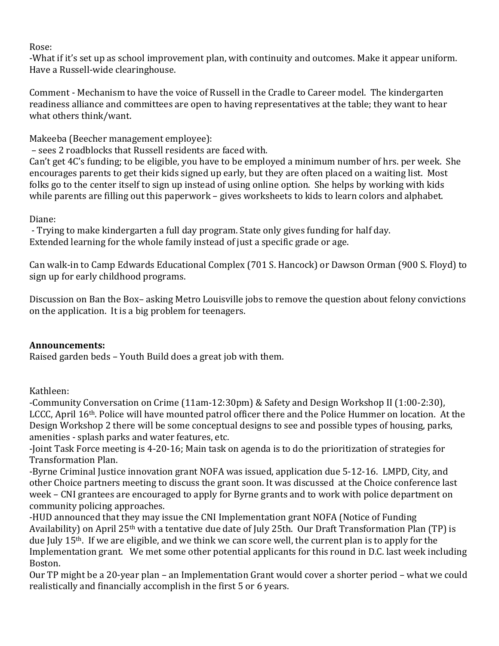#### Rose:

-What if it's set up as school improvement plan, with continuity and outcomes. Make it appear uniform. Have a Russell-wide clearinghouse.

Comment - Mechanism to have the voice of Russell in the Cradle to Career model. The kindergarten readiness alliance and committees are open to having representatives at the table; they want to hear what others think/want.

Makeeba (Beecher management employee):

– sees 2 roadblocks that Russell residents are faced with.

Can't get 4C's funding; to be eligible, you have to be employed a minimum number of hrs. per week. She encourages parents to get their kids signed up early, but they are often placed on a waiting list. Most folks go to the center itself to sign up instead of using online option. She helps by working with kids while parents are filling out this paperwork – gives worksheets to kids to learn colors and alphabet.

## Diane:

- Trying to make kindergarten a full day program. State only gives funding for half day. Extended learning for the whole family instead of just a specific grade or age.

Can walk-in to Camp Edwards Educational Complex (701 S. Hancock) or Dawson Orman (900 S. Floyd) to sign up for early childhood programs.

Discussion on Ban the Box– asking Metro Louisville jobs to remove the question about felony convictions on the application. It is a big problem for teenagers.

## **Announcements:**

Raised garden beds – Youth Build does a great job with them.

## Kathleen:

-Community Conversation on Crime (11am-12:30pm) & Safety and Design Workshop II (1:00-2:30), LCCC, April 16th. Police will have mounted patrol officer there and the Police Hummer on location. At the Design Workshop 2 there will be some conceptual designs to see and possible types of housing, parks, amenities - splash parks and water features, etc.

-Joint Task Force meeting is 4-20-16; Main task on agenda is to do the prioritization of strategies for Transformation Plan.

-Byrne Criminal Justice innovation grant NOFA was issued, application due 5-12-16. LMPD, City, and other Choice partners meeting to discuss the grant soon. It was discussed at the Choice conference last week – CNI grantees are encouraged to apply for Byrne grants and to work with police department on community policing approaches.

-HUD announced that they may issue the CNI Implementation grant NOFA (Notice of Funding Availability) on April 25<sup>th</sup> with a tentative due date of July 25th. Our Draft Transformation Plan (TP) is due July 15th. If we are eligible, and we think we can score well, the current plan is to apply for the Implementation grant. We met some other potential applicants for this round in D.C. last week including Boston.

Our TP might be a 20-year plan – an Implementation Grant would cover a shorter period – what we could realistically and financially accomplish in the first 5 or 6 years.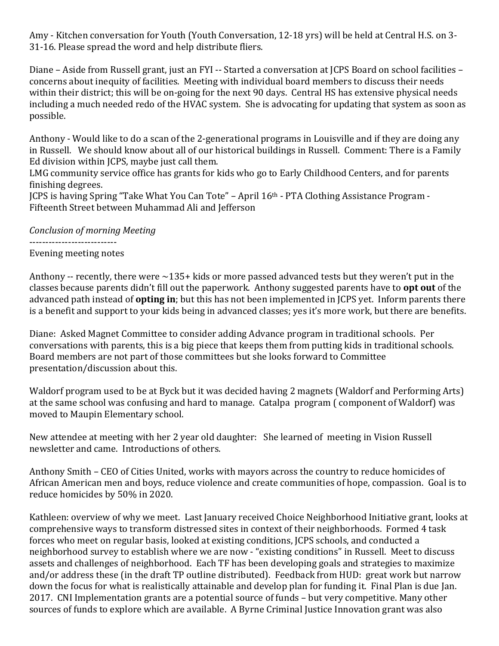Amy - Kitchen conversation for Youth (Youth Conversation, 12-18 yrs) will be held at Central H.S. on 3- 31-16. Please spread the word and help distribute fliers.

Diane – Aside from Russell grant, just an FYI -- Started a conversation at JCPS Board on school facilities – concerns about inequity of facilities. Meeting with individual board members to discuss their needs within their district; this will be on-going for the next 90 days. Central HS has extensive physical needs including a much needed redo of the HVAC system. She is advocating for updating that system as soon as possible.

Anthony - Would like to do a scan of the 2-generational programs in Louisville and if they are doing any in Russell. We should know about all of our historical buildings in Russell. Comment: There is a Family Ed division within JCPS, maybe just call them.

LMG community service office has grants for kids who go to Early Childhood Centers, and for parents finishing degrees.

JCPS is having Spring "Take What You Can Tote" – April 16th - PTA Clothing Assistance Program - Fifteenth Street between Muhammad Ali and Jefferson

*Conclusion of morning Meeting*

---------------------------

Evening meeting notes

Anthony -- recently, there were  $\sim$ 135+ kids or more passed advanced tests but they weren't put in the classes because parents didn't fill out the paperwork. Anthony suggested parents have to **opt out** of the advanced path instead of **opting in**; but this has not been implemented in JCPS yet. Inform parents there is a benefit and support to your kids being in advanced classes; yes it's more work, but there are benefits.

Diane: Asked Magnet Committee to consider adding Advance program in traditional schools. Per conversations with parents, this is a big piece that keeps them from putting kids in traditional schools. Board members are not part of those committees but she looks forward to Committee presentation/discussion about this.

Waldorf program used to be at Byck but it was decided having 2 magnets (Waldorf and Performing Arts) at the same school was confusing and hard to manage. Catalpa program ( component of Waldorf) was moved to Maupin Elementary school.

New attendee at meeting with her 2 year old daughter: She learned of meeting in Vision Russell newsletter and came. Introductions of others.

Anthony Smith – CEO of Cities United, works with mayors across the country to reduce homicides of African American men and boys, reduce violence and create communities of hope, compassion. Goal is to reduce homicides by 50% in 2020.

Kathleen: overview of why we meet. Last January received Choice Neighborhood Initiative grant, looks at comprehensive ways to transform distressed sites in context of their neighborhoods. Formed 4 task forces who meet on regular basis, looked at existing conditions, JCPS schools, and conducted a neighborhood survey to establish where we are now - "existing conditions" in Russell. Meet to discuss assets and challenges of neighborhood. Each TF has been developing goals and strategies to maximize and/or address these (in the draft TP outline distributed). Feedback from HUD: great work but narrow down the focus for what is realistically attainable and develop plan for funding it. Final Plan is due Jan. 2017. CNI Implementation grants are a potential source of funds – but very competitive. Many other sources of funds to explore which are available. A Byrne Criminal Justice Innovation grant was also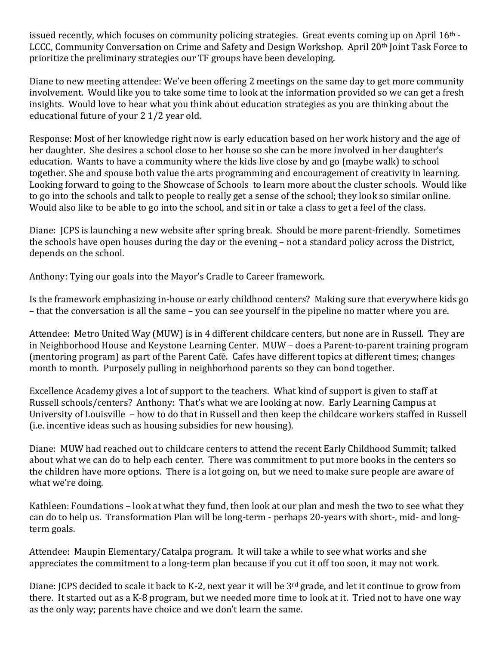issued recently, which focuses on community policing strategies. Great events coming up on April 16<sup>th</sup> -LCCC, Community Conversation on Crime and Safety and Design Workshop. April 20<sup>th</sup> Joint Task Force to prioritize the preliminary strategies our TF groups have been developing.

Diane to new meeting attendee: We've been offering 2 meetings on the same day to get more community involvement. Would like you to take some time to look at the information provided so we can get a fresh insights. Would love to hear what you think about education strategies as you are thinking about the educational future of your 2 1/2 year old.

Response: Most of her knowledge right now is early education based on her work history and the age of her daughter. She desires a school close to her house so she can be more involved in her daughter's education. Wants to have a community where the kids live close by and go (maybe walk) to school together. She and spouse both value the arts programming and encouragement of creativity in learning. Looking forward to going to the Showcase of Schools to learn more about the cluster schools. Would like to go into the schools and talk to people to really get a sense of the school; they look so similar online. Would also like to be able to go into the school, and sit in or take a class to get a feel of the class.

Diane: JCPS is launching a new website after spring break. Should be more parent-friendly. Sometimes the schools have open houses during the day or the evening – not a standard policy across the District, depends on the school.

Anthony: Tying our goals into the Mayor's Cradle to Career framework.

Is the framework emphasizing in-house or early childhood centers? Making sure that everywhere kids go – that the conversation is all the same – you can see yourself in the pipeline no matter where you are.

Attendee: Metro United Way (MUW) is in 4 different childcare centers, but none are in Russell. They are in Neighborhood House and Keystone Learning Center. MUW – does a Parent-to-parent training program (mentoring program) as part of the Parent Café. Cafes have different topics at different times; changes month to month. Purposely pulling in neighborhood parents so they can bond together.

Excellence Academy gives a lot of support to the teachers. What kind of support is given to staff at Russell schools/centers? Anthony: That's what we are looking at now. Early Learning Campus at University of Louisville – how to do that in Russell and then keep the childcare workers staffed in Russell (i.e. incentive ideas such as housing subsidies for new housing).

Diane: MUW had reached out to childcare centers to attend the recent Early Childhood Summit; talked about what we can do to help each center. There was commitment to put more books in the centers so the children have more options. There is a lot going on, but we need to make sure people are aware of what we're doing.

Kathleen: Foundations – look at what they fund, then look at our plan and mesh the two to see what they can do to help us. Transformation Plan will be long-term - perhaps 20-years with short-, mid- and longterm goals.

Attendee: Maupin Elementary/Catalpa program. It will take a while to see what works and she appreciates the commitment to a long-term plan because if you cut it off too soon, it may not work.

Diane: JCPS decided to scale it back to K-2, next year it will be 3rd grade, and let it continue to grow from there. It started out as a K-8 program, but we needed more time to look at it. Tried not to have one way as the only way; parents have choice and we don't learn the same.